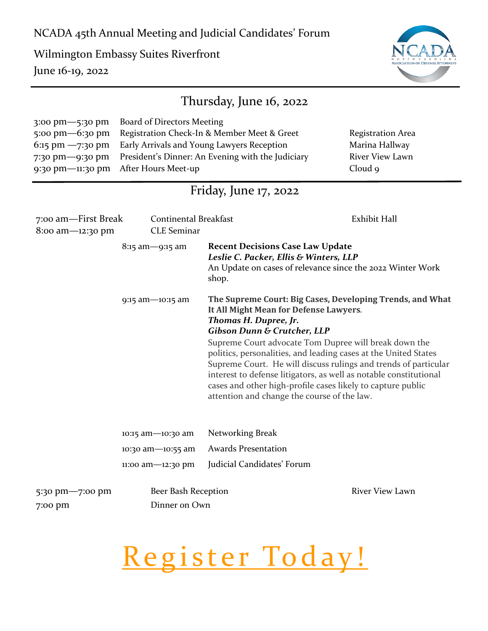Wilmington Embassy Suites Riverfront June 16-19, 2022



| Thursday, June 16, 2022                                                                                |                                                                                                                                                                                                     |                                                                                                                                                                                                                                                                                                                                                                                                                                                                                                                                                          |                                                                                 |  |  |
|--------------------------------------------------------------------------------------------------------|-----------------------------------------------------------------------------------------------------------------------------------------------------------------------------------------------------|----------------------------------------------------------------------------------------------------------------------------------------------------------------------------------------------------------------------------------------------------------------------------------------------------------------------------------------------------------------------------------------------------------------------------------------------------------------------------------------------------------------------------------------------------------|---------------------------------------------------------------------------------|--|--|
| 3:00 pm-5:30 pm<br>5:00 $pm-6$ :30 $pm$<br>$6:15$ pm $-7:30$ pm<br>7:30 pm-9:30 pm<br>9:30 pm-11:30 pm | Board of Directors Meeting<br>Registration Check-In & Member Meet & Greet<br>Early Arrivals and Young Lawyers Reception<br>President's Dinner: An Evening with the Judiciary<br>After Hours Meet-up |                                                                                                                                                                                                                                                                                                                                                                                                                                                                                                                                                          | <b>Registration Area</b><br>Marina Hallway<br><b>River View Lawn</b><br>Cloud 9 |  |  |
| Friday, June $17, 2022$                                                                                |                                                                                                                                                                                                     |                                                                                                                                                                                                                                                                                                                                                                                                                                                                                                                                                          |                                                                                 |  |  |
| 7:00 am—First Break<br>8:00 am-12:30 pm                                                                | <b>Continental Breakfast</b><br><b>CLE</b> Seminar                                                                                                                                                  |                                                                                                                                                                                                                                                                                                                                                                                                                                                                                                                                                          | Exhibit Hall                                                                    |  |  |
|                                                                                                        | $8:15$ am -9:15 am                                                                                                                                                                                  | <b>Recent Decisions Case Law Update</b><br>Leslie C. Packer, Ellis & Winters, LLP<br>An Update on cases of relevance since the 2022 Winter Work<br>shop.                                                                                                                                                                                                                                                                                                                                                                                                 |                                                                                 |  |  |
|                                                                                                        | 9:15 am-10:15 am                                                                                                                                                                                    | The Supreme Court: Big Cases, Developing Trends, and What<br>It All Might Mean for Defense Lawyers.<br>Thomas H. Dupree, Jr.<br><b>Gibson Dunn &amp; Crutcher, LLP</b><br>Supreme Court advocate Tom Dupree will break down the<br>politics, personalities, and leading cases at the United States<br>Supreme Court. He will discuss rulings and trends of particular<br>interest to defense litigators, as well as notable constitutional<br>cases and other high-profile cases likely to capture public<br>attention and change the course of the law. |                                                                                 |  |  |
|                                                                                                        | 10:15 am-10:30 am                                                                                                                                                                                   | Networking Break                                                                                                                                                                                                                                                                                                                                                                                                                                                                                                                                         |                                                                                 |  |  |
|                                                                                                        | 10:30 am-10:55 am                                                                                                                                                                                   | <b>Awards Presentation</b>                                                                                                                                                                                                                                                                                                                                                                                                                                                                                                                               |                                                                                 |  |  |
|                                                                                                        | 11:00 am-12:30 pm                                                                                                                                                                                   | Judicial Candidates' Forum                                                                                                                                                                                                                                                                                                                                                                                                                                                                                                                               |                                                                                 |  |  |
| 5:30 pm-7:00 pm<br>7:00 pm                                                                             | Beer Bash Reception<br>Dinner on Own                                                                                                                                                                |                                                                                                                                                                                                                                                                                                                                                                                                                                                                                                                                                          | <b>River View Lawn</b>                                                          |  |  |

# Register Today!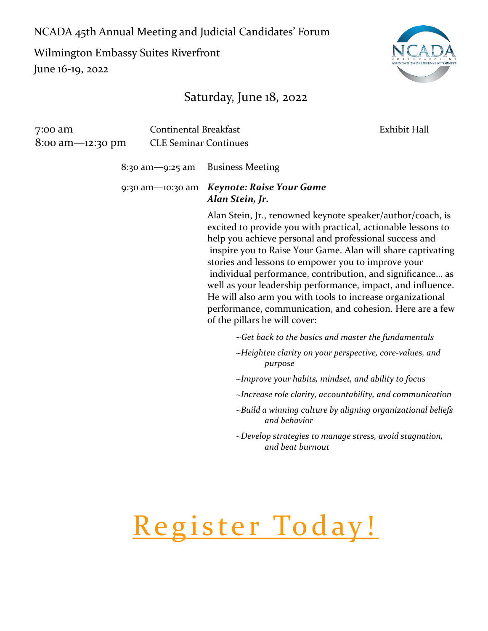Wilmington Embassy Suites Riverfront June 16-19, 2022

### Saturday, June 18, 2022

| 7:00 am<br>8:00 am—12:30 pm | <b>Continental Breakfast</b><br><b>CLE Seminar Continues</b> |                                                                                                                                               | Exhibit Hall                                                                                                                                                                                                                                                                                                                                                                                                                                    |
|-----------------------------|--------------------------------------------------------------|-----------------------------------------------------------------------------------------------------------------------------------------------|-------------------------------------------------------------------------------------------------------------------------------------------------------------------------------------------------------------------------------------------------------------------------------------------------------------------------------------------------------------------------------------------------------------------------------------------------|
|                             | 8:30 am-9:25 am                                              | <b>Business Meeting</b>                                                                                                                       |                                                                                                                                                                                                                                                                                                                                                                                                                                                 |
|                             | 9:30 am-10:30 am                                             | <b>Keynote: Raise Your Game</b><br>Alan Stein, Jr.                                                                                            |                                                                                                                                                                                                                                                                                                                                                                                                                                                 |
|                             |                                                              | help you achieve personal and professional success and<br>stories and lessons to empower you to improve your<br>of the pillars he will cover: | Alan Stein, Jr., renowned keynote speaker/author/coach, is<br>excited to provide you with practical, actionable lessons to<br>inspire you to Raise Your Game. Alan will share captivating<br>individual performance, contribution, and significance as<br>well as your leadership performance, impact, and influence.<br>He will also arm you with tools to increase organizational<br>performance, communication, and cohesion. Here are a few |
|                             |                                                              |                                                                                                                                               | $\sim$ Get back to the basics and master the fundamentals                                                                                                                                                                                                                                                                                                                                                                                       |
|                             |                                                              | purpose                                                                                                                                       | ~Heighten clarity on your perspective, core-values, and                                                                                                                                                                                                                                                                                                                                                                                         |
|                             |                                                              |                                                                                                                                               | ~Improve your habits, mindset, and ability to focus                                                                                                                                                                                                                                                                                                                                                                                             |
|                             |                                                              |                                                                                                                                               | $\sim$ Increase role clarity, accountability, and communication                                                                                                                                                                                                                                                                                                                                                                                 |
|                             |                                                              | and behavior                                                                                                                                  | ~Build a winning culture by aligning organizational beliefs                                                                                                                                                                                                                                                                                                                                                                                     |
|                             |                                                              | and beat burnout                                                                                                                              | ~Develop strategies to manage stress, avoid stagnation,                                                                                                                                                                                                                                                                                                                                                                                         |
|                             |                                                              |                                                                                                                                               |                                                                                                                                                                                                                                                                                                                                                                                                                                                 |



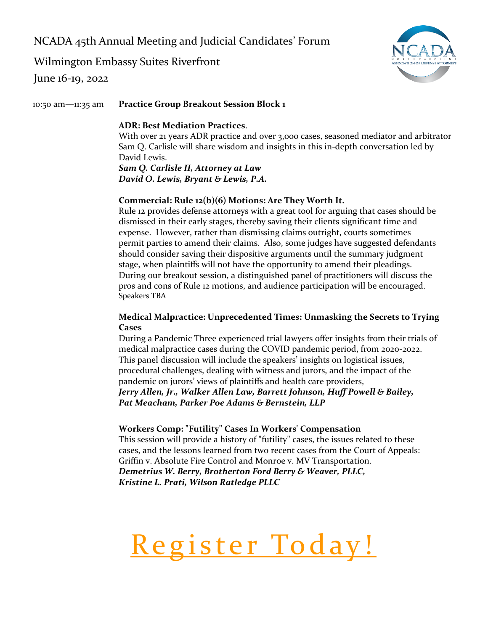Wilmington Embassy Suites Riverfront

June 16-19, 2022



10:50 am—11:35 am **Practice Group Breakout Session Block 1** 

#### **ADR: Best Mediation Practices**.

With over 21 years ADR practice and over 3,000 cases, seasoned mediator and arbitrator Sam Q. Carlisle will share wisdom and insights in this in-depth conversation led by David Lewis.

*Sam Q. Carlisle II, Attorney at Law David O. Lewis, Bryant & Lewis, P.A.* 

#### **Commercial: Rule 12(b)(6) Motions: Are They Worth It.**

Rule 12 provides defense attorneys with a great tool for arguing that cases should be dismissed in their early stages, thereby saving their clients significant time and expense. However, rather than dismissing claims outright, courts sometimes permit parties to amend their claims. Also, some judges have suggested defendants should consider saving their dispositive arguments until the summary judgment stage, when plaintiffs will not have the opportunity to amend their pleadings. During our breakout session, a distinguished panel of practitioners will discuss the pros and cons of Rule 12 motions, and audience participation will be encouraged. Speakers TBA

#### **Medical Malpractice: Unprecedented Times: Unmasking the Secrets to Trying Cases**

During a Pandemic Three experienced trial lawyers offer insights from their trials of medical malpractice cases during the COVID pandemic period, from 2020-2022. This panel discussion will include the speakers' insights on logistical issues, procedural challenges, dealing with witness and jurors, and the impact of the pandemic on jurors' views of plaintiffs and health care providers,

*Jerry Allen, Jr., Walker Allen Law, Barrett Johnson, Huff Powell & Bailey, Pat Meacham, Parker Poe Adams & Bernstein, LLP*

#### **Workers Comp: "Futility" Cases In Workers' Compensation**

This session will provide a history of "futility" cases, the issues related to these cases, and the lessons learned from two recent cases from the Court of Appeals: Griffin v. Absolute Fire Control and Monroe v. MV Transportation. *Demetrius W. Berry, Brotherton Ford Berry & Weaver, PLLC, Kristine L. Prati, Wilson Ratledge PLLC*

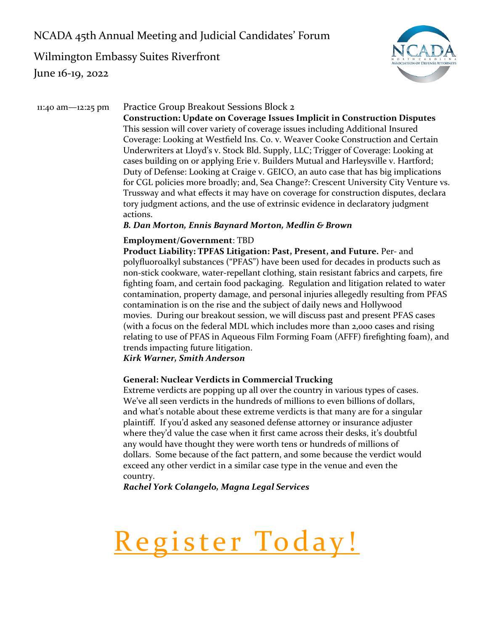Wilmington Embassy Suites Riverfront June 16-19, 2022



#### 11:40 am—12:25 pm Practice Group Breakout Sessions Block 2

**Construction: Update on Coverage Issues Implicit in Construction Disputes** This session will cover variety of coverage issues including Additional Insured Coverage: Looking at Westfield Ins. Co. v. Weaver Cooke Construction and Certain Underwriters at Lloyd's v. Stock Bld. Supply, LLC; Trigger of Coverage: Looking at cases building on or applying Erie v. Builders Mutual and Harleysville v. Hartford; Duty of Defense: Looking at Craige v. GEICO, an auto case that has big implications for CGL policies more broadly; and, Sea Change?: Crescent University City Venture vs. Trussway and what effects it may have on coverage for construction disputes, declara tory judgment actions, and the use of extrinsic evidence in declaratory judgment actions.

#### *B. Dan Morton, Ennis Baynard Morton, Medlin & Brown*

#### **Employment/Government**: TBD

**Product Liability: TPFAS Litigation: Past, Present, and Future.** Per- and polyfluoroalkyl substances ("PFAS") have been used for decades in products such as non-stick cookware, water-repellant clothing, stain resistant fabrics and carpets, fire fighting foam, and certain food packaging. Regulation and litigation related to water contamination, property damage, and personal injuries allegedly resulting from PFAS contamination is on the rise and the subject of daily news and Hollywood movies. During our breakout session, we will discuss past and present PFAS cases (with a focus on the federal MDL which includes more than 2,000 cases and rising relating to use of PFAS in Aqueous Film Forming Foam (AFFF) firefighting foam), and trends impacting future litigation.

#### *Kirk Warner, Smith Anderson*

#### **General: Nuclear Verdicts in Commercial Trucking**

Extreme verdicts are popping up all over the country in various types of cases. We've all seen verdicts in the hundreds of millions to even billions of dollars, and what's notable about these extreme verdicts is that many are for a singular plaintiff. If you'd asked any seasoned defense attorney or insurance adjuster where they'd value the case when it first came across their desks, it's doubtful any would have thought they were worth tens or hundreds of millions of dollars. Some because of the fact pattern, and some because the verdict would exceed any other verdict in a similar case type in the venue and even the country.

*Rachel York Colangelo, Magna Legal Services*